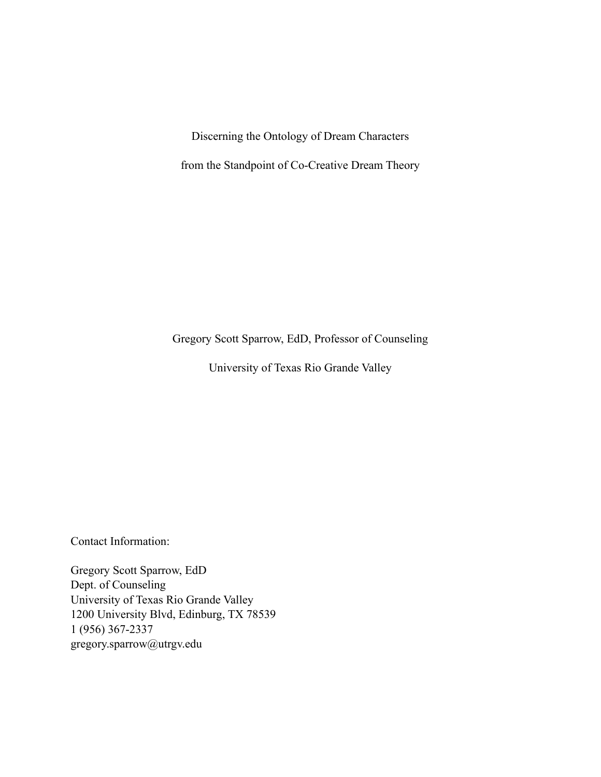Discerning the Ontology of Dream Characters

from the Standpoint of Co-Creative Dream Theory

Gregory Scott Sparrow, EdD, Professor of Counseling

University of Texas Rio Grande Valley

Contact Information:

Gregory Scott Sparrow, EdD Dept. of Counseling University of Texas Rio Grande Valley 1200 University Blvd, Edinburg, TX 78539 1 (956) 367-2337 gregory.sparrow@utrgv.edu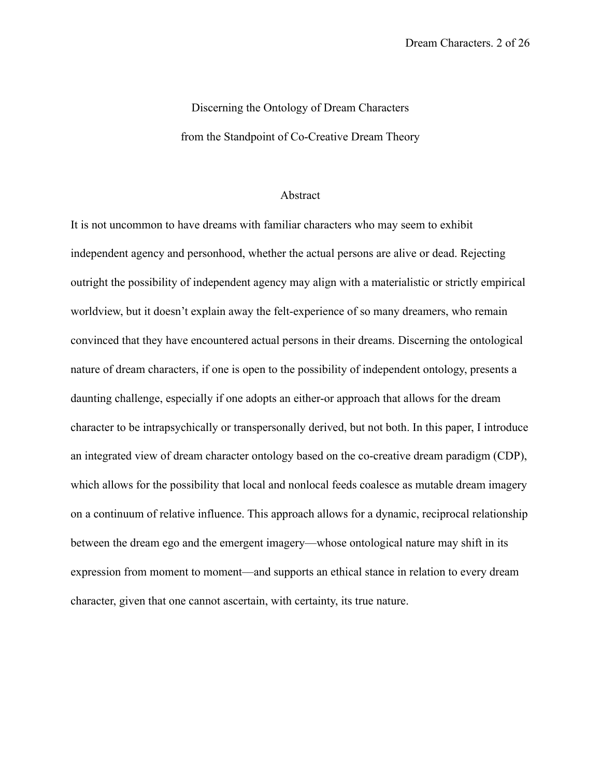## Discerning the Ontology of Dream Characters from the Standpoint of Co-Creative Dream Theory

## Abstract

It is not uncommon to have dreams with familiar characters who may seem to exhibit independent agency and personhood, whether the actual persons are alive or dead. Rejecting outright the possibility of independent agency may align with a materialistic or strictly empirical worldview, but it doesn't explain away the felt-experience of so many dreamers, who remain convinced that they have encountered actual persons in their dreams. Discerning the ontological nature of dream characters, if one is open to the possibility of independent ontology, presents a daunting challenge, especially if one adopts an either-or approach that allows for the dream character to be intrapsychically or transpersonally derived, but not both. In this paper, I introduce an integrated view of dream character ontology based on the co-creative dream paradigm (CDP), which allows for the possibility that local and nonlocal feeds coalesce as mutable dream imagery on a continuum of relative influence. This approach allows for a dynamic, reciprocal relationship between the dream ego and the emergent imagery––whose ontological nature may shift in its expression from moment to moment––and supports an ethical stance in relation to every dream character, given that one cannot ascertain, with certainty, its true nature.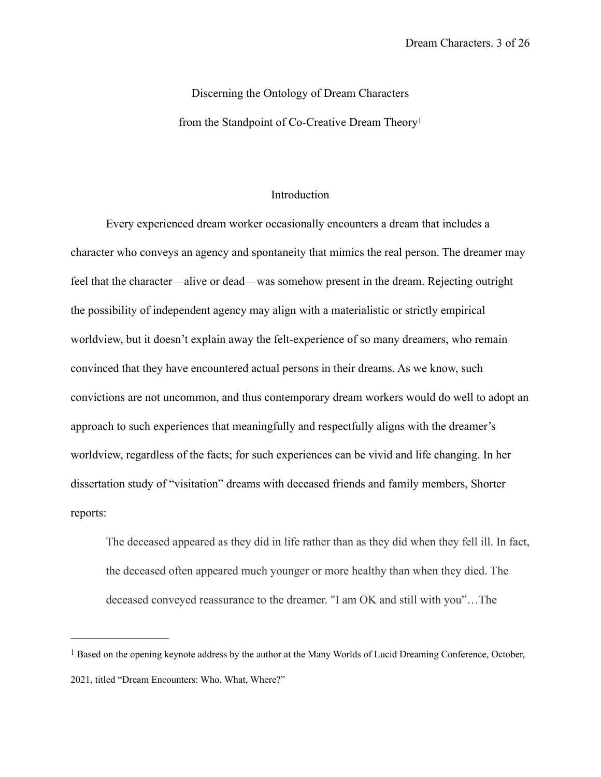# Discerning the Ontology of Dream Characters from the Standpoint of Co-Creative Dream Theory[1](#page-2-0)

### <span id="page-2-1"></span>Introduction

Every experienced dream worker occasionally encounters a dream that includes a character who conveys an agency and spontaneity that mimics the real person. The dreamer may feel that the character––alive or dead––was somehow present in the dream. Rejecting outright the possibility of independent agency may align with a materialistic or strictly empirical worldview, but it doesn't explain away the felt-experience of so many dreamers, who remain convinced that they have encountered actual persons in their dreams. As we know, such convictions are not uncommon, and thus contemporary dream workers would do well to adopt an approach to such experiences that meaningfully and respectfully aligns with the dreamer's worldview, regardless of the facts; for such experiences can be vivid and life changing. In her dissertation study of "visitation" dreams with deceased friends and family members, Shorter reports:

The deceased appeared as they did in life rather than as they did when they fell ill. In fact, the deceased often appeared much younger or more healthy than when they died. The deceased conveyed reassurance to the dreamer. "I am OK and still with you"…The

<span id="page-2-0"></span><sup>&</sup>lt;sup>[1](#page-2-1)</sup> Based on the opening keynote address by the author at the Many Worlds of Lucid Dreaming Conference, October, 2021, titled "Dream Encounters: Who, What, Where?"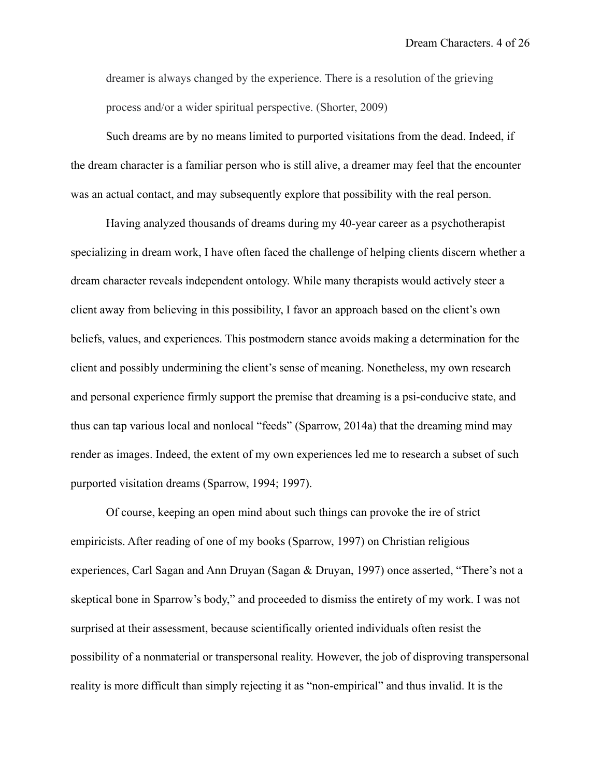dreamer is always changed by the experience. There is a resolution of the grieving process and/or a wider [spiritual](https://www.psychologytoday.com/us/basics/spirituality) perspective. (Shorter, 2009)

Such dreams are by no means limited to purported visitations from the dead. Indeed, if the dream character is a familiar person who is still alive, a dreamer may feel that the encounter was an actual contact, and may subsequently explore that possibility with the real person.

Having analyzed thousands of dreams during my 40-year career as a psychotherapist specializing in dream work, I have often faced the challenge of helping clients discern whether a dream character reveals independent ontology. While many therapists would actively steer a client away from believing in this possibility, I favor an approach based on the client's own beliefs, values, and experiences. This postmodern stance avoids making a determination for the client and possibly undermining the client's sense of meaning. Nonetheless, my own research and personal experience firmly support the premise that dreaming is a psi-conducive state, and thus can tap various local and nonlocal "feeds" (Sparrow, 2014a) that the dreaming mind may render as images. Indeed, the extent of my own experiences led me to research a subset of such purported visitation dreams (Sparrow, 1994; 1997).

Of course, keeping an open mind about such things can provoke the ire of strict empiricists. After reading of one of my books (Sparrow, 1997) on Christian religious experiences, Carl Sagan and Ann Druyan (Sagan & Druyan, 1997) once asserted, "There's not a skeptical bone in Sparrow's body," and proceeded to dismiss the entirety of my work. I was not surprised at their assessment, because scientifically oriented individuals often resist the possibility of a nonmaterial or transpersonal reality. However, the job of disproving transpersonal reality is more difficult than simply rejecting it as "non-empirical" and thus invalid. It is the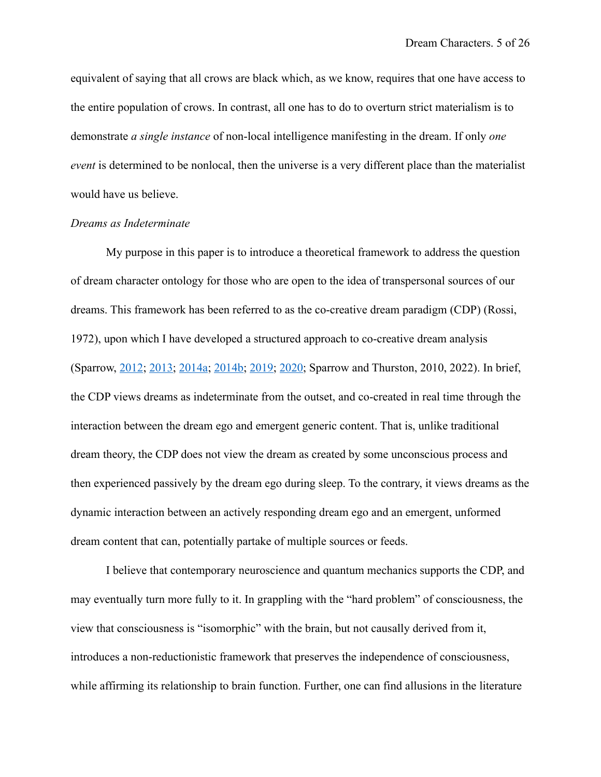equivalent of saying that all crows are black which, as we know, requires that one have access to the entire population of crows. In contrast, all one has to do to overturn strict materialism is to demonstrate *a single instance* of non-local intelligence manifesting in the dream. If only *one event* is determined to be nonlocal, then the universe is a very different place than the materialist would have us believe.

#### *Dreams as Indeterminate*

My purpose in this paper is to introduce a theoretical framework to address the question of dream character ontology for those who are open to the idea of transpersonal sources of our dreams. This framework has been referred to as the co-creative dream paradigm (CDP) (Rossi, 1972), upon which I have developed a structured approach to co-creative dream analysis (Sparrow, [2012;](https://journals.ub.uni-heidelberg.de/index.php/IJoDR/article/view/12128/pdf_62) [2013](https://www.dreamstarinstitute.com/resources/A.New.Method.Dream.Analysis.Publication.pdf); [2014a;](http://www.dreamanalysistraining.com/resources/Sparrow.Lucidity.Anthology.Revised.pdf) [2014b](https://journals.ub.uni-heidelberg.de/index.php/IJoDR/article/view/12128); [2019;](https://www.dreamstarinstitute.com/resources/Dual-Mode.IJODR.pdf) [2020;](https://www.dreamstarinstitute.com/resources/Metaphor-Paper-Final.IJODR.April-2020.pdf) Sparrow and Thurston, 2010, 2022). In brief, the CDP views dreams as indeterminate from the outset, and co-created in real time through the interaction between the dream ego and emergent generic content. That is, unlike traditional dream theory, the CDP does not view the dream as created by some unconscious process and then experienced passively by the dream ego during sleep. To the contrary, it views dreams as the dynamic interaction between an actively responding dream ego and an emergent, unformed dream content that can, potentially partake of multiple sources or feeds.

I believe that contemporary neuroscience and quantum mechanics supports the CDP, and may eventually turn more fully to it. In grappling with the "hard problem" of consciousness, the view that consciousness is "isomorphic" with the brain, but not causally derived from it, introduces a non-reductionistic framework that preserves the independence of consciousness, while affirming its relationship to brain function. Further, one can find allusions in the literature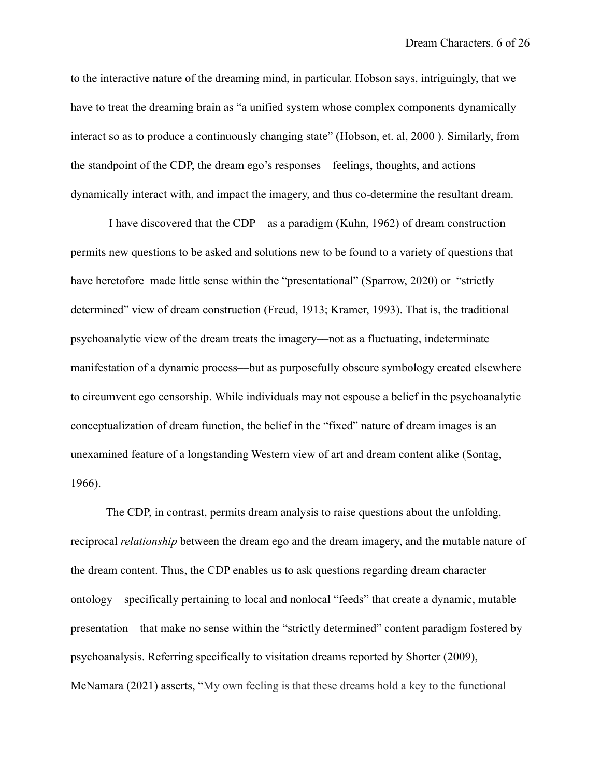to the interactive nature of the dreaming mind, in particular. Hobson says, intriguingly, that we have to treat the dreaming brain as "a unified system whose complex components dynamically interact so as to produce a continuously changing state" (Hobson, et. al, 2000 ). Similarly, from the standpoint of the CDP, the dream ego's responses––feelings, thoughts, and actions–– dynamically interact with, and impact the imagery, and thus co-determine the resultant dream.

 I have discovered that the CDP––as a paradigm (Kuhn, 1962) of dream construction–– permits new questions to be asked and solutions new to be found to a variety of questions that have heretofore made little sense within the "presentational" (Sparrow, 2020) or "strictly determined" view of dream construction (Freud, 1913; Kramer, 1993). That is, the traditional psychoanalytic view of the dream treats the imagery––not as a fluctuating, indeterminate manifestation of a dynamic process––but as purposefully obscure symbology created elsewhere to circumvent ego censorship. While individuals may not espouse a belief in the psychoanalytic conceptualization of dream function, the belief in the "fixed" nature of dream images is an unexamined feature of a longstanding Western view of art and dream content alike (Sontag, 1966).

The CDP, in contrast, permits dream analysis to raise questions about the unfolding, reciprocal *relationship* between the dream ego and the dream imagery, and the mutable nature of the dream content. Thus, the CDP enables us to ask questions regarding dream character ontology––specifically pertaining to local and nonlocal "feeds" that create a dynamic, mutable presentation––that make no sense within the "strictly determined" content paradigm fostered by psychoanalysis. Referring specifically to visitation dreams reported by Shorter (2009), McNamara (2021) asserts, "My own feeling is that these dreams hold a key to the functional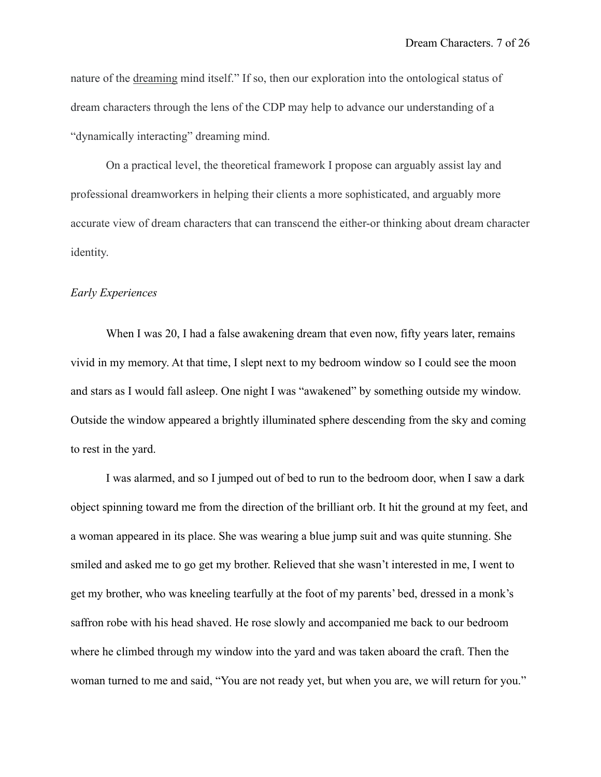nature of the [dreaming](https://www.psychologytoday.com/us/basics/dreaming) mind itself." If so, then our exploration into the ontological status of dream characters through the lens of the CDP may help to advance our understanding of a "dynamically interacting" dreaming mind.

On a practical level, the theoretical framework I propose can arguably assist lay and professional dreamworkers in helping their clients a more sophisticated, and arguably more accurate view of dream characters that can transcend the either-or thinking about dream character identity.

#### *Early Experiences*

When I was 20, I had a false awakening dream that even now, fifty years later, remains vivid in my memory. At that time, I slept next to my bedroom window so I could see the moon and stars as I would fall asleep. One night I was "awakened" by something outside my window. Outside the window appeared a brightly illuminated sphere descending from the sky and coming to rest in the yard.

I was alarmed, and so I jumped out of bed to run to the bedroom door, when I saw a dark object spinning toward me from the direction of the brilliant orb. It hit the ground at my feet, and a woman appeared in its place. She was wearing a blue jump suit and was quite stunning. She smiled and asked me to go get my brother. Relieved that she wasn't interested in me, I went to get my brother, who was kneeling tearfully at the foot of my parents' bed, dressed in a monk's saffron robe with his head shaved. He rose slowly and accompanied me back to our bedroom where he climbed through my window into the yard and was taken aboard the craft. Then the woman turned to me and said, "You are not ready yet, but when you are, we will return for you."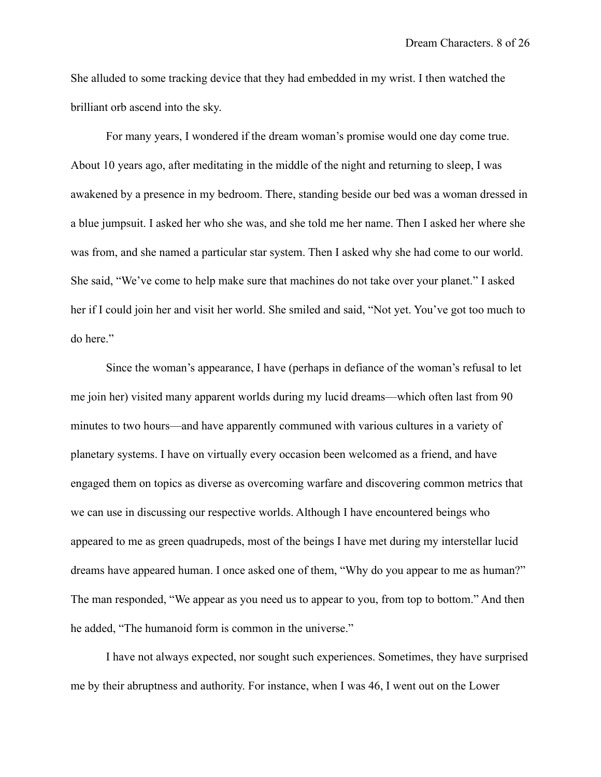She alluded to some tracking device that they had embedded in my wrist. I then watched the brilliant orb ascend into the sky.

For many years, I wondered if the dream woman's promise would one day come true. About 10 years ago, after meditating in the middle of the night and returning to sleep, I was awakened by a presence in my bedroom. There, standing beside our bed was a woman dressed in a blue jumpsuit. I asked her who she was, and she told me her name. Then I asked her where she was from, and she named a particular star system. Then I asked why she had come to our world. She said, "We've come to help make sure that machines do not take over your planet." I asked her if I could join her and visit her world. She smiled and said, "Not yet. You've got too much to do here."

Since the woman's appearance, I have (perhaps in defiance of the woman's refusal to let me join her) visited many apparent worlds during my lucid dreams––which often last from 90 minutes to two hours––and have apparently communed with various cultures in a variety of planetary systems. I have on virtually every occasion been welcomed as a friend, and have engaged them on topics as diverse as overcoming warfare and discovering common metrics that we can use in discussing our respective worlds. Although I have encountered beings who appeared to me as green quadrupeds, most of the beings I have met during my interstellar lucid dreams have appeared human. I once asked one of them, "Why do you appear to me as human?" The man responded, "We appear as you need us to appear to you, from top to bottom." And then he added, "The humanoid form is common in the universe."

I have not always expected, nor sought such experiences. Sometimes, they have surprised me by their abruptness and authority. For instance, when I was 46, I went out on the Lower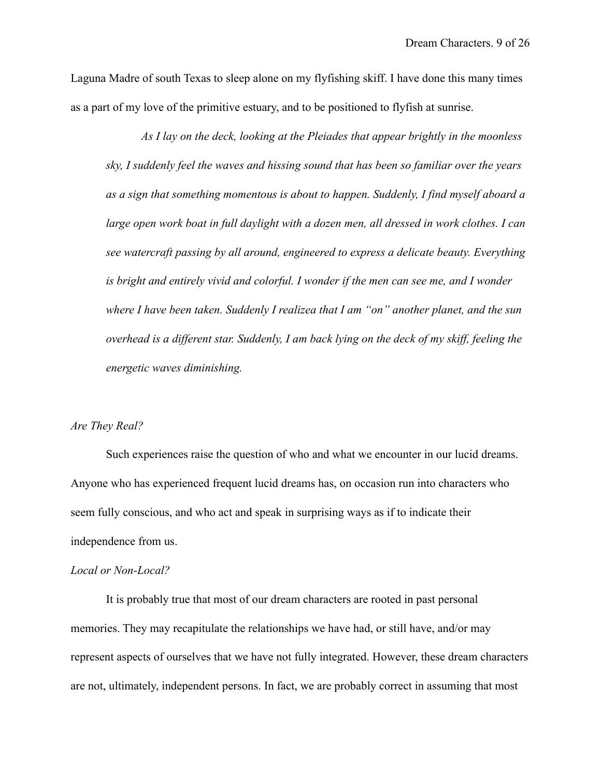Laguna Madre of south Texas to sleep alone on my flyfishing skiff. I have done this many times as a part of my love of the primitive estuary, and to be positioned to flyfish at sunrise.

*As I lay on the deck, looking at the Pleiades that appear brightly in the moonless sky, I suddenly feel the waves and hissing sound that has been so familiar over the years as a sign that something momentous is about to happen. Suddenly, I find myself aboard a*  large open work boat in full daylight with a dozen men, all dressed in work clothes. I can *see watercraft passing by all around, engineered to express a delicate beauty. Everything is bright and entirely vivid and colorful. I wonder if the men can see me, and I wonder where I have been taken. Suddenly I realizea that I am "on" another planet, and the sun overhead is a different star. Suddenly, I am back lying on the deck of my skiff, feeling the energetic waves diminishing.*

## *Are They Real?*

Such experiences raise the question of who and what we encounter in our lucid dreams. Anyone who has experienced frequent lucid dreams has, on occasion run into characters who seem fully conscious, and who act and speak in surprising ways as if to indicate their independence from us.

#### *Local or Non-Local?*

It is probably true that most of our dream characters are rooted in past personal memories. They may recapitulate the relationships we have had, or still have, and/or may represent aspects of ourselves that we have not fully integrated. However, these dream characters are not, ultimately, independent persons. In fact, we are probably correct in assuming that most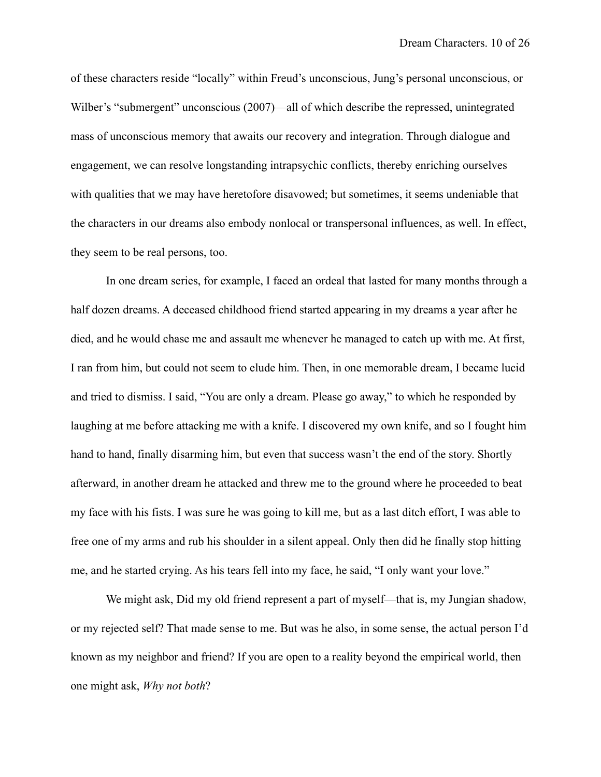of these characters reside "locally" within Freud's unconscious, Jung's personal unconscious, or Wilber's "submergent" unconscious (2007)—all of which describe the repressed, unintegrated mass of unconscious memory that awaits our recovery and integration. Through dialogue and engagement, we can resolve longstanding intrapsychic conflicts, thereby enriching ourselves with qualities that we may have heretofore disavowed; but sometimes, it seems undeniable that the characters in our dreams also embody nonlocal or transpersonal influences, as well. In effect, they seem to be real persons, too.

In one dream series, for example, I faced an ordeal that lasted for many months through a half dozen dreams. A deceased childhood friend started appearing in my dreams a year after he died, and he would chase me and assault me whenever he managed to catch up with me. At first, I ran from him, but could not seem to elude him. Then, in one memorable dream, I became lucid and tried to dismiss. I said, "You are only a dream. Please go away," to which he responded by laughing at me before attacking me with a knife. I discovered my own knife, and so I fought him hand to hand, finally disarming him, but even that success wasn't the end of the story. Shortly afterward, in another dream he attacked and threw me to the ground where he proceeded to beat my face with his fists. I was sure he was going to kill me, but as a last ditch effort, I was able to free one of my arms and rub his shoulder in a silent appeal. Only then did he finally stop hitting me, and he started crying. As his tears fell into my face, he said, "I only want your love."

We might ask, Did my old friend represent a part of myself—that is, my Jungian shadow, or my rejected self? That made sense to me. But was he also, in some sense, the actual person I'd known as my neighbor and friend? If you are open to a reality beyond the empirical world, then one might ask, *Why not both*?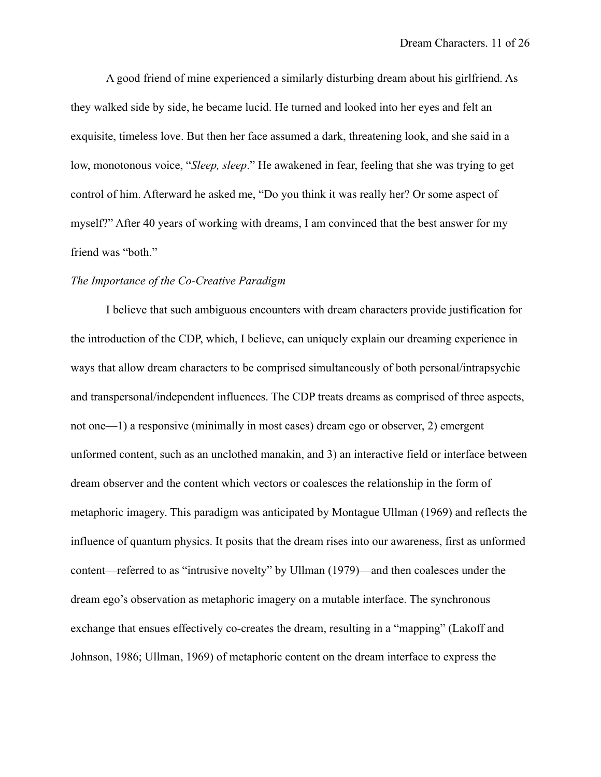A good friend of mine experienced a similarly disturbing dream about his girlfriend. As they walked side by side, he became lucid. He turned and looked into her eyes and felt an exquisite, timeless love. But then her face assumed a dark, threatening look, and she said in a low, monotonous voice, "*Sleep, sleep*." He awakened in fear, feeling that she was trying to get control of him. Afterward he asked me, "Do you think it was really her? Or some aspect of myself?" After 40 years of working with dreams, I am convinced that the best answer for my friend was "both."

#### *The Importance of the Co-Creative Paradigm*

I believe that such ambiguous encounters with dream characters provide justification for the introduction of the CDP, which, I believe, can uniquely explain our dreaming experience in ways that allow dream characters to be comprised simultaneously of both personal/intrapsychic and transpersonal/independent influences. The CDP treats dreams as comprised of three aspects, not one—1) a responsive (minimally in most cases) dream ego or observer, 2) emergent unformed content, such as an unclothed manakin, and 3) an interactive field or interface between dream observer and the content which vectors or coalesces the relationship in the form of metaphoric imagery. This paradigm was anticipated by Montague Ullman (1969) and reflects the influence of quantum physics. It posits that the dream rises into our awareness, first as unformed content––referred to as "intrusive novelty" by Ullman (1979)––and then coalesces under the dream ego's observation as metaphoric imagery on a mutable interface. The synchronous exchange that ensues effectively co-creates the dream, resulting in a "mapping" (Lakoff and Johnson, 1986; Ullman, 1969) of metaphoric content on the dream interface to express the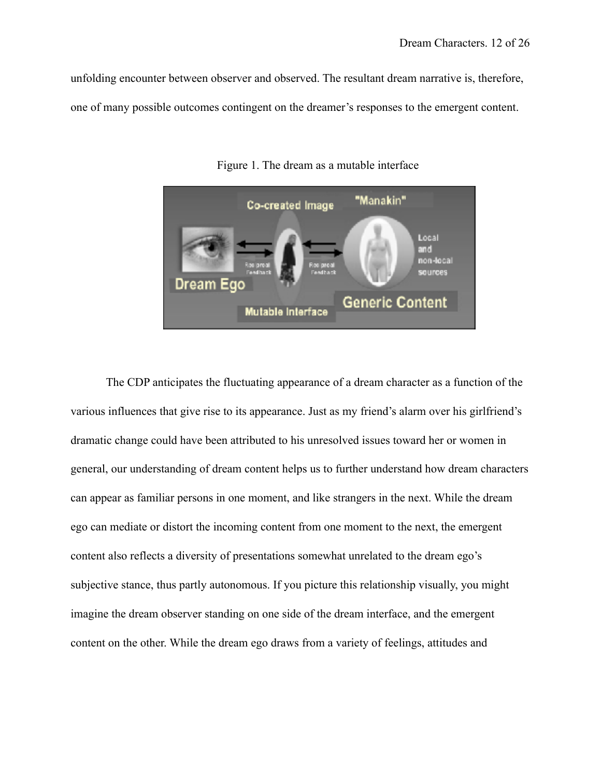unfolding encounter between observer and observed. The resultant dream narrative is, therefore, one of many possible outcomes contingent on the dreamer's responses to the emergent content.



Figure 1. The dream as a mutable interface

The CDP anticipates the fluctuating appearance of a dream character as a function of the various influences that give rise to its appearance. Just as my friend's alarm over his girlfriend's dramatic change could have been attributed to his unresolved issues toward her or women in general, our understanding of dream content helps us to further understand how dream characters can appear as familiar persons in one moment, and like strangers in the next. While the dream ego can mediate or distort the incoming content from one moment to the next, the emergent content also reflects a diversity of presentations somewhat unrelated to the dream ego's subjective stance, thus partly autonomous. If you picture this relationship visually, you might imagine the dream observer standing on one side of the dream interface, and the emergent content on the other. While the dream ego draws from a variety of feelings, attitudes and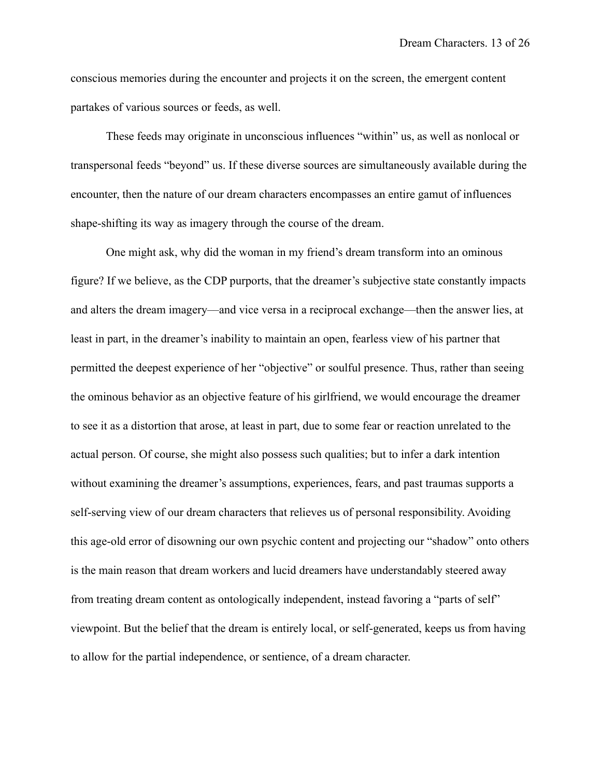conscious memories during the encounter and projects it on the screen, the emergent content partakes of various sources or feeds, as well.

These feeds may originate in unconscious influences "within" us, as well as nonlocal or transpersonal feeds "beyond" us. If these diverse sources are simultaneously available during the encounter, then the nature of our dream characters encompasses an entire gamut of influences shape-shifting its way as imagery through the course of the dream.

One might ask, why did the woman in my friend's dream transform into an ominous figure? If we believe, as the CDP purports, that the dreamer's subjective state constantly impacts and alters the dream imagery––and vice versa in a reciprocal exchange––then the answer lies, at least in part, in the dreamer's inability to maintain an open, fearless view of his partner that permitted the deepest experience of her "objective" or soulful presence. Thus, rather than seeing the ominous behavior as an objective feature of his girlfriend, we would encourage the dreamer to see it as a distortion that arose, at least in part, due to some fear or reaction unrelated to the actual person. Of course, she might also possess such qualities; but to infer a dark intention without examining the dreamer's assumptions, experiences, fears, and past traumas supports a self-serving view of our dream characters that relieves us of personal responsibility. Avoiding this age-old error of disowning our own psychic content and projecting our "shadow" onto others is the main reason that dream workers and lucid dreamers have understandably steered away from treating dream content as ontologically independent, instead favoring a "parts of self" viewpoint. But the belief that the dream is entirely local, or self-generated, keeps us from having to allow for the partial independence, or sentience, of a dream character.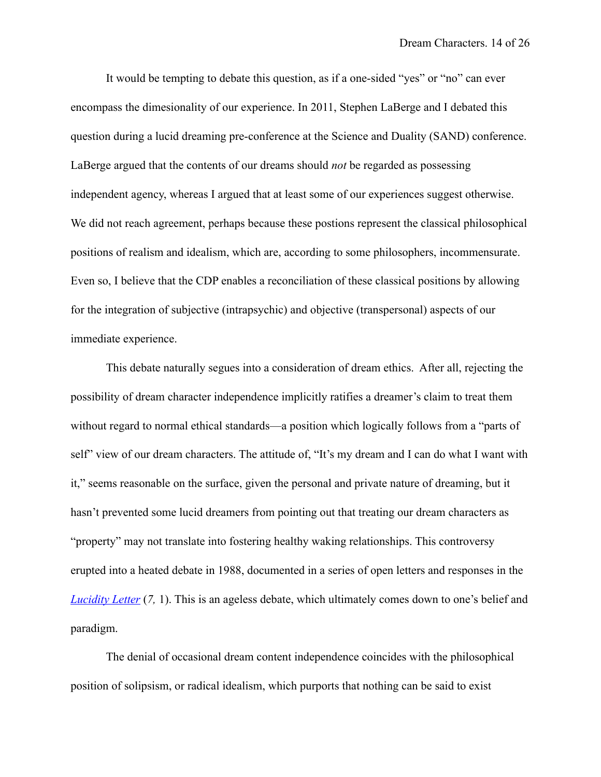It would be tempting to debate this question, as if a one-sided "yes" or "no" can ever encompass the dimesionality of our experience. In 2011, Stephen LaBerge and I debated this question during a lucid dreaming pre-conference at the Science and Duality (SAND) conference. LaBerge argued that the contents of our dreams should *not* be regarded as possessing independent agency, whereas I argued that at least some of our experiences suggest otherwise. We did not reach agreement, perhaps because these postions represent the classical philosophical positions of realism and idealism, which are, according to some philosophers, incommensurate. Even so, I believe that the CDP enables a reconciliation of these classical positions by allowing for the integration of subjective (intrapsychic) and objective (transpersonal) aspects of our immediate experience.

This debate naturally segues into a consideration of dream ethics. After all, rejecting the possibility of dream character independence implicitly ratifies a dreamer's claim to treat them without regard to normal ethical standards—a position which logically follows from a "parts of self" view of our dream characters. The attitude of, "It's my dream and I can do what I want with it," seems reasonable on the surface, given the personal and private nature of dreaming, but it hasn't prevented some lucid dreamers from pointing out that treating our dream characters as "property" may not translate into fostering healthy waking relationships. This controversy erupted into a heated debate in 1988, documented in a series of open letters and responses in the *[Lucidity Letter](https://journals.macewan.ca/lucidity/issue/view/30)* (7, 1). This is an ageless debate, which ultimately comes down to one's belief and paradigm.

The denial of occasional dream content independence coincides with the philosophical position of solipsism, or radical idealism, which purports that nothing can be said to exist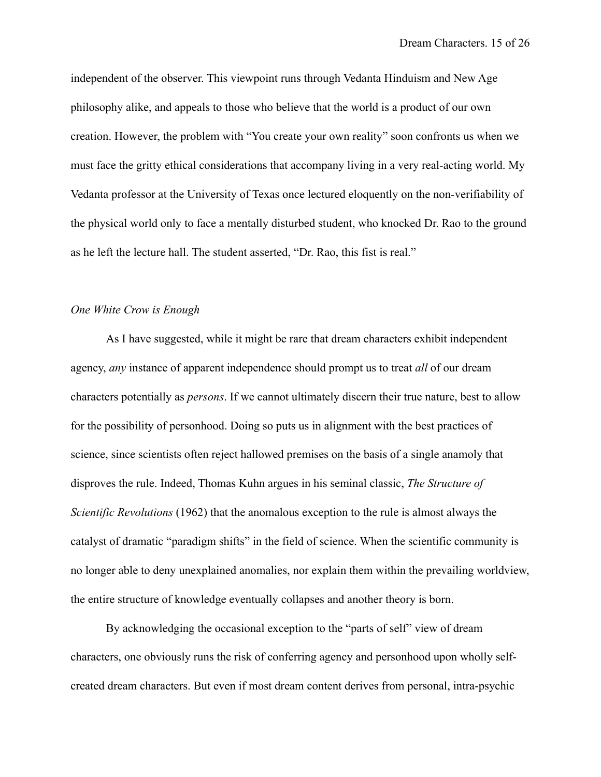independent of the observer. This viewpoint runs through Vedanta Hinduism and New Age philosophy alike, and appeals to those who believe that the world is a product of our own creation. However, the problem with "You create your own reality" soon confronts us when we must face the gritty ethical considerations that accompany living in a very real-acting world. My Vedanta professor at the University of Texas once lectured eloquently on the non-verifiability of the physical world only to face a mentally disturbed student, who knocked Dr. Rao to the ground as he left the lecture hall. The student asserted, "Dr. Rao, this fist is real."

#### *One White Crow is Enough*

As I have suggested, while it might be rare that dream characters exhibit independent agency, *any* instance of apparent independence should prompt us to treat *all* of our dream characters potentially as *persons*. If we cannot ultimately discern their true nature, best to allow for the possibility of personhood. Doing so puts us in alignment with the best practices of science, since scientists often reject hallowed premises on the basis of a single anamoly that disproves the rule. Indeed, Thomas Kuhn argues in his seminal classic, *The Structure of Scientific Revolutions* (1962) that the anomalous exception to the rule is almost always the catalyst of dramatic "paradigm shifts" in the field of science. When the scientific community is no longer able to deny unexplained anomalies, nor explain them within the prevailing worldview, the entire structure of knowledge eventually collapses and another theory is born.

By acknowledging the occasional exception to the "parts of self" view of dream characters, one obviously runs the risk of conferring agency and personhood upon wholly selfcreated dream characters. But even if most dream content derives from personal, intra-psychic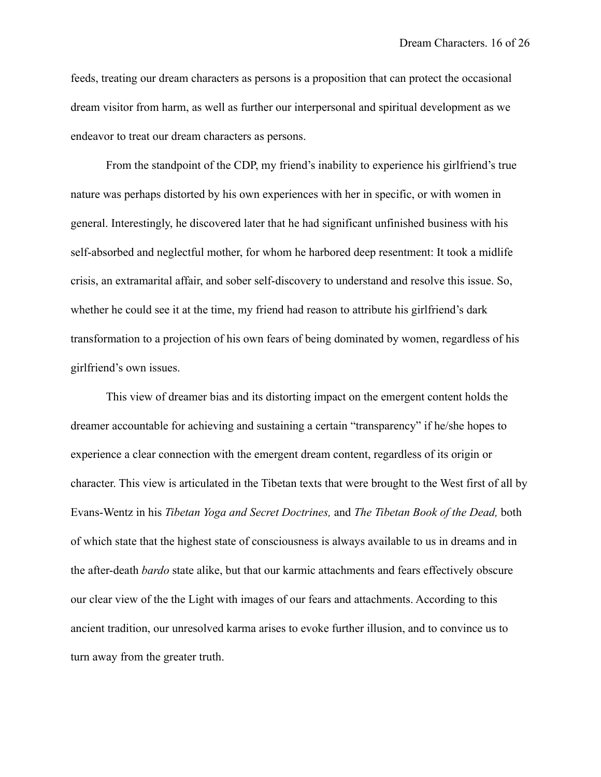feeds, treating our dream characters as persons is a proposition that can protect the occasional dream visitor from harm, as well as further our interpersonal and spiritual development as we endeavor to treat our dream characters as persons.

From the standpoint of the CDP, my friend's inability to experience his girlfriend's true nature was perhaps distorted by his own experiences with her in specific, or with women in general. Interestingly, he discovered later that he had significant unfinished business with his self-absorbed and neglectful mother, for whom he harbored deep resentment: It took a midlife crisis, an extramarital affair, and sober self-discovery to understand and resolve this issue. So, whether he could see it at the time, my friend had reason to attribute his girlfriend's dark transformation to a projection of his own fears of being dominated by women, regardless of his girlfriend's own issues.

This view of dreamer bias and its distorting impact on the emergent content holds the dreamer accountable for achieving and sustaining a certain "transparency" if he/she hopes to experience a clear connection with the emergent dream content, regardless of its origin or character. This view is articulated in the Tibetan texts that were brought to the West first of all by Evans-Wentz in his *Tibetan Yoga and Secret Doctrines,* and *The Tibetan Book of the Dead,* both of which state that the highest state of consciousness is always available to us in dreams and in the after-death *bardo* state alike, but that our karmic attachments and fears effectively obscure our clear view of the the Light with images of our fears and attachments. According to this ancient tradition, our unresolved karma arises to evoke further illusion, and to convince us to turn away from the greater truth.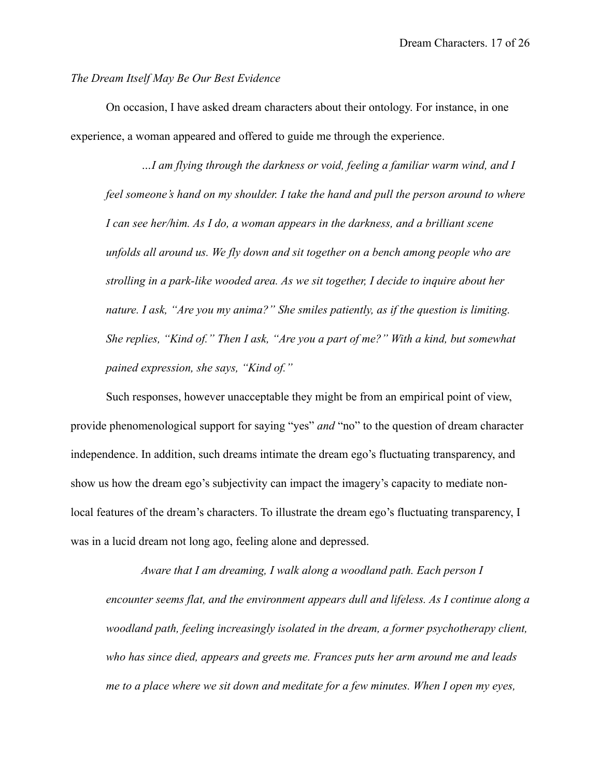#### *The Dream Itself May Be Our Best Evidence*

On occasion, I have asked dream characters about their ontology. For instance, in one experience, a woman appeared and offered to guide me through the experience.

*…I am flying through the darkness or void, feeling a familiar warm wind, and I feel someone's hand on my shoulder. I take the hand and pull the person around to where I can see her/him. As I do, a woman appears in the darkness, and a brilliant scene unfolds all around us. We fly down and sit together on a bench among people who are strolling in a park-like wooded area. As we sit together, I decide to inquire about her nature. I ask, "Are you my anima?" She smiles patiently, as if the question is limiting. She replies, "Kind of." Then I ask, "Are you a part of me?" With a kind, but somewhat pained expression, she says, "Kind of."* 

Such responses, however unacceptable they might be from an empirical point of view, provide phenomenological support for saying "yes" *and* "no" to the question of dream character independence. In addition, such dreams intimate the dream ego's fluctuating transparency, and show us how the dream ego's subjectivity can impact the imagery's capacity to mediate nonlocal features of the dream's characters. To illustrate the dream ego's fluctuating transparency, I was in a lucid dream not long ago, feeling alone and depressed.

*Aware that I am dreaming, I walk along a woodland path. Each person I encounter seems flat, and the environment appears dull and lifeless. As I continue along a woodland path, feeling increasingly isolated in the dream, a former psychotherapy client, who has since died, appears and greets me. Frances puts her arm around me and leads me to a place where we sit down and meditate for a few minutes. When I open my eyes,*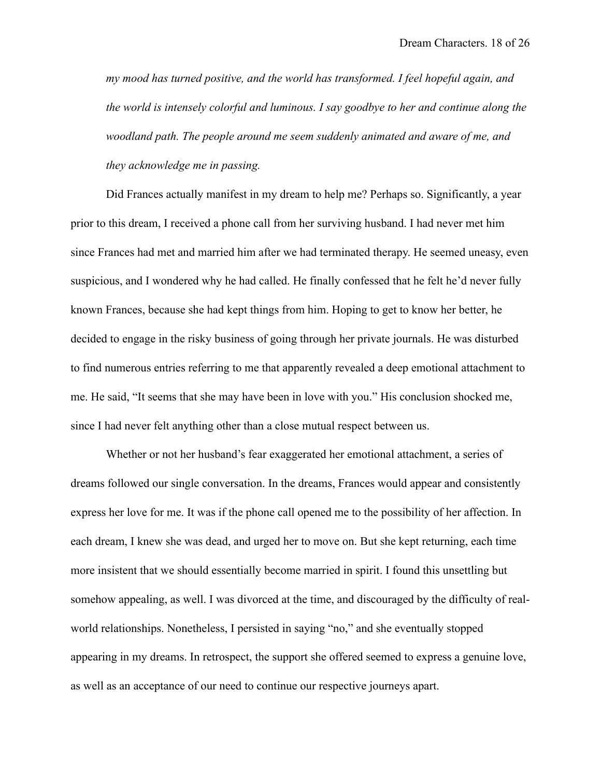*my mood has turned positive, and the world has transformed. I feel hopeful again, and the world is intensely colorful and luminous. I say goodbye to her and continue along the woodland path. The people around me seem suddenly animated and aware of me, and they acknowledge me in passing.* 

Did Frances actually manifest in my dream to help me? Perhaps so. Significantly, a year prior to this dream, I received a phone call from her surviving husband. I had never met him since Frances had met and married him after we had terminated therapy. He seemed uneasy, even suspicious, and I wondered why he had called. He finally confessed that he felt he'd never fully known Frances, because she had kept things from him. Hoping to get to know her better, he decided to engage in the risky business of going through her private journals. He was disturbed to find numerous entries referring to me that apparently revealed a deep emotional attachment to me. He said, "It seems that she may have been in love with you." His conclusion shocked me, since I had never felt anything other than a close mutual respect between us.

Whether or not her husband's fear exaggerated her emotional attachment, a series of dreams followed our single conversation. In the dreams, Frances would appear and consistently express her love for me. It was if the phone call opened me to the possibility of her affection. In each dream, I knew she was dead, and urged her to move on. But she kept returning, each time more insistent that we should essentially become married in spirit. I found this unsettling but somehow appealing, as well. I was divorced at the time, and discouraged by the difficulty of realworld relationships. Nonetheless, I persisted in saying "no," and she eventually stopped appearing in my dreams. In retrospect, the support she offered seemed to express a genuine love, as well as an acceptance of our need to continue our respective journeys apart.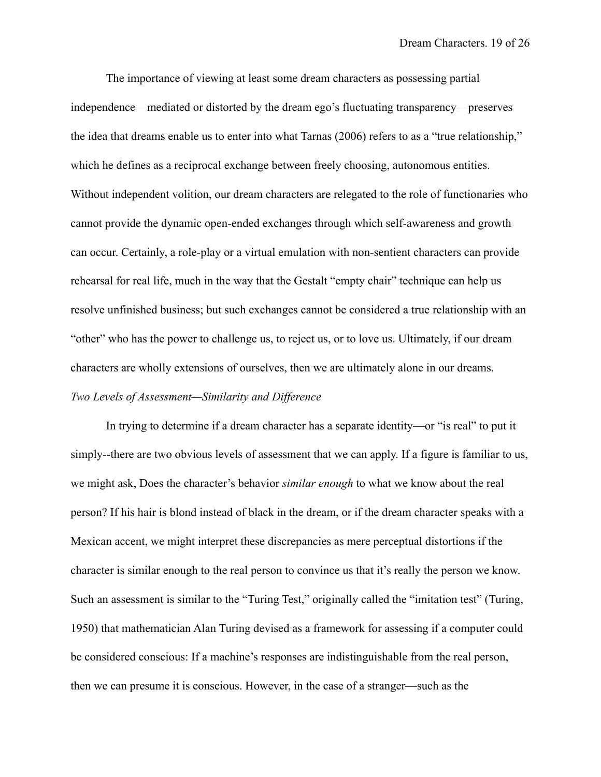The importance of viewing at least some dream characters as possessing partial independence—mediated or distorted by the dream ego's fluctuating transparency—preserves the idea that dreams enable us to enter into what Tarnas (2006) refers to as a "true relationship," which he defines as a reciprocal exchange between freely choosing, autonomous entities. Without independent volition, our dream characters are relegated to the role of functionaries who cannot provide the dynamic open-ended exchanges through which self-awareness and growth can occur. Certainly, a role-play or a virtual emulation with non-sentient characters can provide rehearsal for real life, much in the way that the Gestalt "empty chair" technique can help us resolve unfinished business; but such exchanges cannot be considered a true relationship with an "other" who has the power to challenge us, to reject us, or to love us. Ultimately, if our dream characters are wholly extensions of ourselves, then we are ultimately alone in our dreams. *Two Levels of Assessment—Similarity and Difference*

In trying to determine if a dream character has a separate identity—or "is real" to put it simply--there are two obvious levels of assessment that we can apply. If a figure is familiar to us, we might ask, Does the character's behavior *similar enough* to what we know about the real person? If his hair is blond instead of black in the dream, or if the dream character speaks with a Mexican accent, we might interpret these discrepancies as mere perceptual distortions if the character is similar enough to the real person to convince us that it's really the person we know. Such an assessment is similar to the "Turing Test," originally called the "imitation test" (Turing, 1950) that mathematician Alan Turing devised as a framework for assessing if a computer could be considered conscious: If a machine's responses are indistinguishable from the real person, then we can presume it is conscious. However, in the case of a stranger––such as the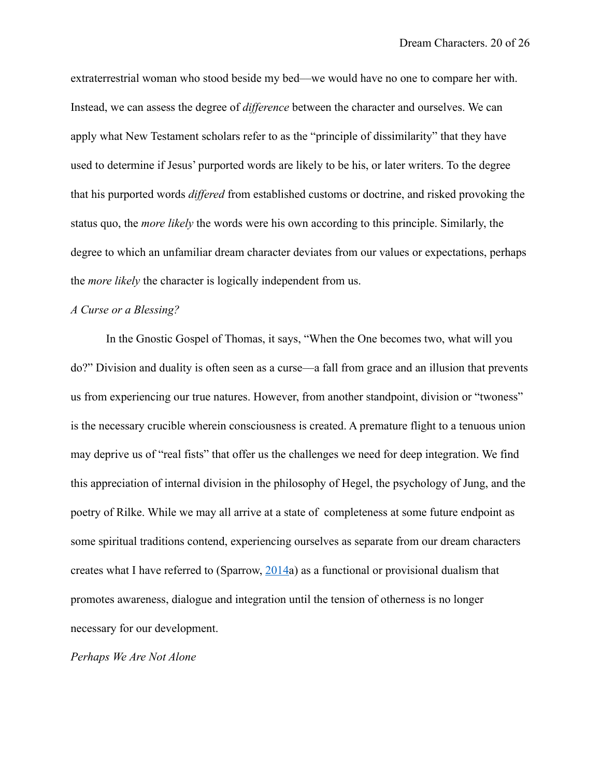extraterrestrial woman who stood beside my bed––we would have no one to compare her with. Instead, we can assess the degree of *difference* between the character and ourselves. We can apply what New Testament scholars refer to as the "principle of dissimilarity" that they have used to determine if Jesus' purported words are likely to be his, or later writers. To the degree that his purported words *differed* from established customs or doctrine, and risked provoking the status quo, the *more likely* the words were his own according to this principle. Similarly, the degree to which an unfamiliar dream character deviates from our values or expectations, perhaps the *more likely* the character is logically independent from us.

#### *A Curse or a Blessing?*

In the Gnostic Gospel of Thomas, it says, "When the One becomes two, what will you do?" Division and duality is often seen as a curse––a fall from grace and an illusion that prevents us from experiencing our true natures. However, from another standpoint, division or "twoness" is the necessary crucible wherein consciousness is created. A premature flight to a tenuous union may deprive us of "real fists" that offer us the challenges we need for deep integration. We find this appreciation of internal division in the philosophy of Hegel, the psychology of Jung, and the poetry of Rilke. While we may all arrive at a state of completeness at some future endpoint as some spiritual traditions contend, experiencing ourselves as separate from our dream characters creates what I have referred to (Sparrow, [2014](http://www.dreamanalysistraining.com/resources/Sparrow.Lucidity.Anthology.Revised.pdf)a) as a functional or provisional dualism that promotes awareness, dialogue and integration until the tension of otherness is no longer necessary for our development.

*Perhaps We Are Not Alone*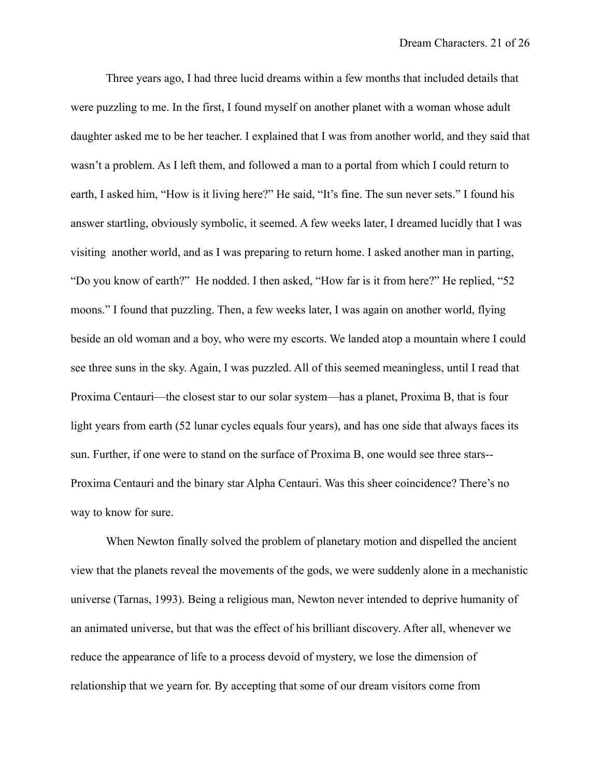Three years ago, I had three lucid dreams within a few months that included details that were puzzling to me. In the first, I found myself on another planet with a woman whose adult daughter asked me to be her teacher. I explained that I was from another world, and they said that wasn't a problem. As I left them, and followed a man to a portal from which I could return to earth, I asked him, "How is it living here?" He said, "It's fine. The sun never sets." I found his answer startling, obviously symbolic, it seemed. A few weeks later, I dreamed lucidly that I was visiting another world, and as I was preparing to return home. I asked another man in parting, "Do you know of earth?" He nodded. I then asked, "How far is it from here?" He replied, "52 moons." I found that puzzling. Then, a few weeks later, I was again on another world, flying beside an old woman and a boy, who were my escorts. We landed atop a mountain where I could see three suns in the sky. Again, I was puzzled. All of this seemed meaningless, until I read that Proxima Centauri––the closest star to our solar system––has a planet, Proxima B, that is four light years from earth (52 lunar cycles equals four years), and has one side that always faces its sun. Further, if one were to stand on the surface of Proxima B, one would see three stars-- Proxima Centauri and the binary star Alpha Centauri. Was this sheer coincidence? There's no way to know for sure.

When Newton finally solved the problem of planetary motion and dispelled the ancient view that the planets reveal the movements of the gods, we were suddenly alone in a mechanistic universe (Tarnas, 1993). Being a religious man, Newton never intended to deprive humanity of an animated universe, but that was the effect of his brilliant discovery. After all, whenever we reduce the appearance of life to a process devoid of mystery, we lose the dimension of relationship that we yearn for. By accepting that some of our dream visitors come from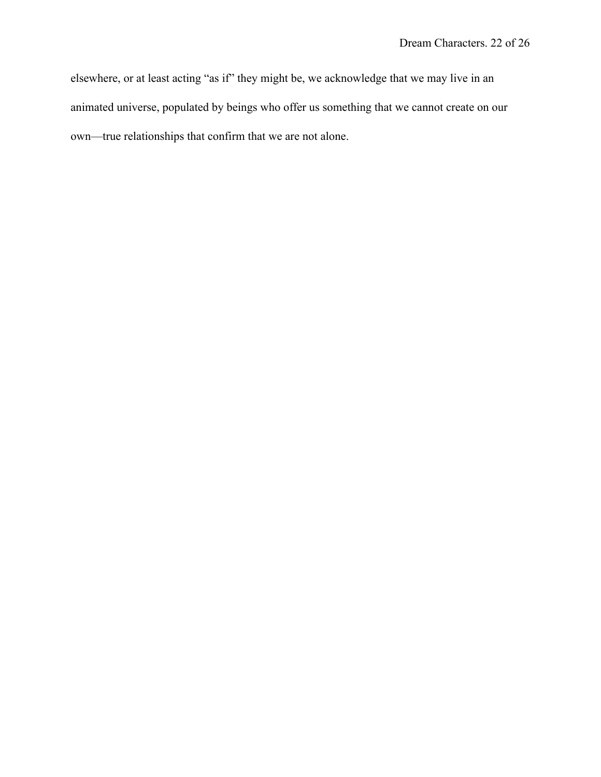elsewhere, or at least acting "as if" they might be, we acknowledge that we may live in an animated universe, populated by beings who offer us something that we cannot create on our own—true relationships that confirm that we are not alone.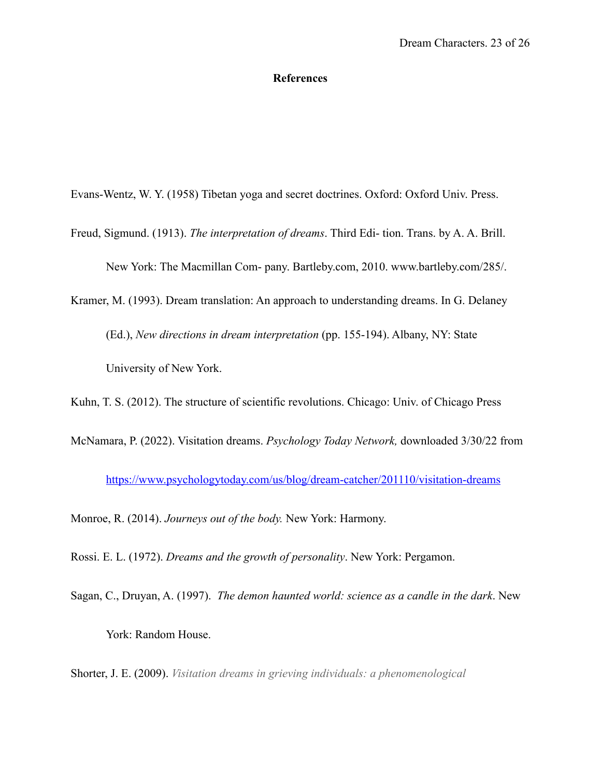#### **References**

Evans-Wentz, W. Y. (1958) Tibetan yoga and secret doctrines. Oxford: Oxford Univ. Press.

Freud, Sigmund. (1913). *The interpretation of dreams*. Third Edi- tion. Trans. by A. A. Brill. New York: The Macmillan Com- pany. Bartleby.com, 2010. www.bartleby.com/285/.

Kramer, M. (1993). Dream translation: An approach to understanding dreams. In G. Delaney (Ed.), *New directions in dream interpretation* (pp. 155-194). Albany, NY: State University of New York.

Kuhn, T. S. (2012). The structure of scientific revolutions. Chicago: Univ. of Chicago Press

McNamara, P. (2022). Visitation dreams. *Psychology Today Network,* downloaded 3/30/22 from

<https://www.psychologytoday.com/us/blog/dream-catcher/201110/visitation-dreams>

Monroe, R. (2014). *Journeys out of the body.* New York: Harmony.

Rossi. E. L. (1972). *Dreams and the growth of personality*. New York: Pergamon.

Sagan, C., Druyan, A. (1997). *The demon haunted world: science as a candle in the dark*. New York: Random House.

Shorter, J. E. (2009). *Visitation dreams in grieving individuals: a phenomenological*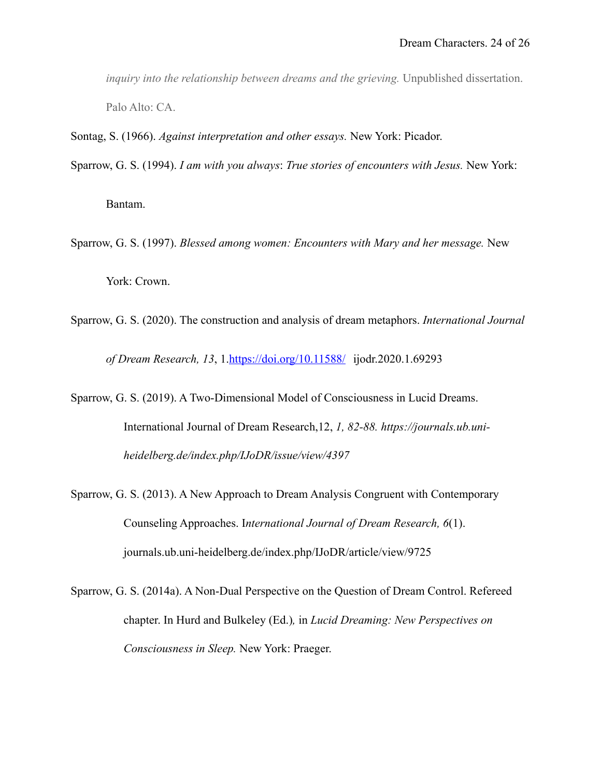*inquiry into the relationship between dreams and the grieving.* Unpublished dissertation. Palo Alto: CA.

Sontag, S. (1966). *Against interpretation and other essays.* New York: Picador.

Sparrow, G. S. (1994). *I am with you always*: *True stories of encounters with Jesus.* New York:

Bantam.

- Sparrow, G. S. (1997). *Blessed among women: Encounters with Mary and her message.* New York: Crown.
- Sparrow, G. S. (2020). The construction and analysis of dream metaphors. *International Journal of Dream Research, 13*, 1[.https://doi.org/10.11588/](https://doi.org/10.11588/) ijodr.2020.1.69293
- Sparrow, G. S. (2019). A Two-Dimensional Model of Consciousness in Lucid Dreams. International Journal of Dream Research,12, *1, 82-88. https://journals.ub.uniheidelberg.de/index.php/IJoDR/issue/view/4397*
- Sparrow, G. S. (2013). A New Approach to Dream Analysis Congruent with Contemporary Counseling Approaches. I*nternational Journal of Dream Research, 6*(1). journals.ub.uni-heidelberg.de/index.php/IJoDR/article/view/9725
- Sparrow, G. S. (2014a). A Non-Dual Perspective on the Question of Dream Control. Refereed chapter. In Hurd and Bulkeley (Ed.)*,* in *Lucid Dreaming: New Perspectives on Consciousness in Sleep.* New York: Praeger.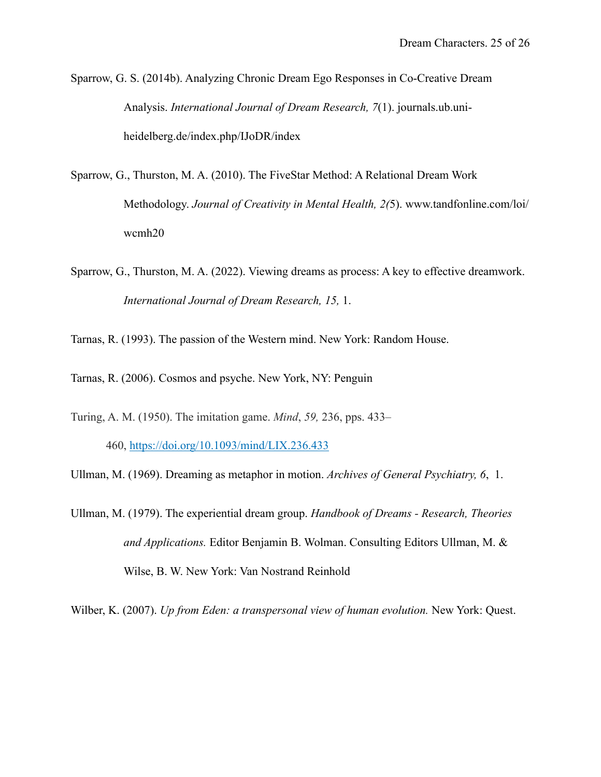Sparrow, G. S. (2014b). Analyzing Chronic Dream Ego Responses in Co-Creative Dream Analysis. *International Journal of Dream Research, 7*(1). journals.ub.uniheidelberg.de/index.php/IJoDR/index

- Sparrow, G., Thurston, M. A. (2010). The FiveStar Method: A Relational Dream Work Methodology. *Journal of Creativity in Mental Health, 2(*5). www.tandfonline.com/loi/ wcmh20
- Sparrow, G., Thurston, M. A. (2022). Viewing dreams as process: A key to effective dreamwork. *International Journal of Dream Research, 15,* 1.

Tarnas, R. (1993). The passion of the Western mind. New York: Random House.

- Tarnas, R. (2006). Cosmos and psyche. New York, NY: Penguin
- Turing, A. M. (1950). The imitation game. *Mind*, *59,* 236, pps. 433– 460, <https://doi.org/10.1093/mind/LIX.236.433>

Ullman, M. (1969). Dreaming as metaphor in motion. *Archives of General Psychiatry, 6*, 1.

Ullman, M. (1979). The experiential dream group. *Handbook of Dreams - Research, Theories and Applications.* Editor Benjamin B. Wolman. Consulting Editors Ullman, M. & Wilse, B. W. New York: Van Nostrand Reinhold

Wilber, K. (2007). *Up from Eden: a transpersonal view of human evolution.* New York: Quest.